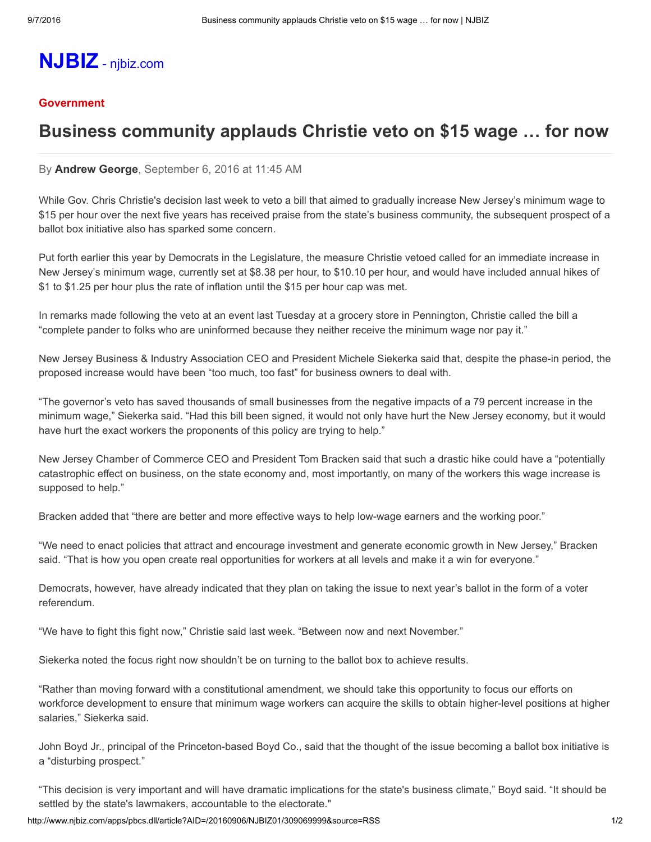# [NJBIZ](http://www.njbiz.com/) njbiz.com

#### **[Government](http://www.njbiz.com/section/government)**

## Business community applauds Christie veto on \$15 wage … for now

#### By [Andrew](mailto:andrewg@njbiz.com) George, September 6, 2016 at 11:45 AM

While Gov. Chris Christie's decision last week to veto a bill that aimed to gradually increase New Jersey's minimum wage to \$15 per hour over the next five years has received praise from the state's business community, the subsequent prospect of a ballot box initiative also has sparked some concern.

Put forth earlier this year by Democrats in the Legislature, the measure Christie vetoed called for an immediate increase in New Jersey's minimum wage, currently set at \$8.38 per hour, to \$10.10 per hour, and would have included annual hikes of \$1 to \$1.25 per hour plus the rate of inflation until the \$15 per hour cap was met.

In remarks made following the veto at an event last Tuesday at a grocery store in Pennington, Christie called the bill a "complete pander to folks who are uninformed because they neither receive the minimum wage nor pay it."

New Jersey Business & Industry Association CEO and President Michele Siekerka said that, despite the phase-in period, the proposed increase would have been "too much, too fast" for business owners to deal with.

"The governor's veto has saved thousands of small businesses from the negative impacts of a 79 percent increase in the minimum wage," Siekerka said. "Had this bill been signed, it would not only have hurt the New Jersey economy, but it would have hurt the exact workers the proponents of this policy are trying to help."

New Jersey Chamber of Commerce CEO and President Tom Bracken said that such a drastic hike could have a "potentially catastrophic effect on business, on the state economy and, most importantly, on many of the workers this wage increase is supposed to help."

Bracken added that "there are better and more effective ways to help low-wage earners and the working poor."

"We need to enact policies that attract and encourage investment and generate economic growth in New Jersey," Bracken said. "That is how you open create real opportunities for workers at all levels and make it a win for everyone."

Democrats, however, have already indicated that they plan on taking the issue to next year's ballot in the form of a voter referendum.

"We have to fight this fight now," Christie said last week. "Between now and next November."

Siekerka noted the focus right now shouldn't be on turning to the ballot box to achieve results.

"Rather than moving forward with a constitutional amendment, we should take this opportunity to focus our efforts on workforce development to ensure that minimum wage workers can acquire the skills to obtain higher-level positions at higher salaries," Siekerka said.

John Boyd Jr., principal of the Princeton-based Boyd Co., said that the thought of the issue becoming a ballot box initiative is a "disturbing prospect."

"This decision is very important and will have dramatic implications for the state's business climate," Boyd said. "It should be settled by the state's lawmakers, accountable to the electorate."

http://www.njbiz.com/apps/pbcs.dll/article?AID=/20160906/NJBIZ01/309069999&source=RSS 1/2